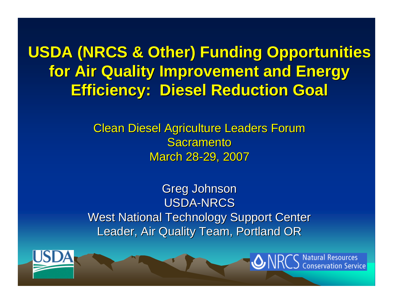**USDA (NRCS & Other) Funding Opportunities for Air Quality Improvement and Energy for Air Quality Improvement and Energy Efficiency: Diesel Reduction Goal Efficiency: Diesel Reduction Goal**

> **Clean Diesel Agriculture Leaders Forum** Sacramento March 28-29, 2007

Greg Johnson USDA-NRCS**West National Technology Support Center** Leader, Air Quality Team, Portland OR



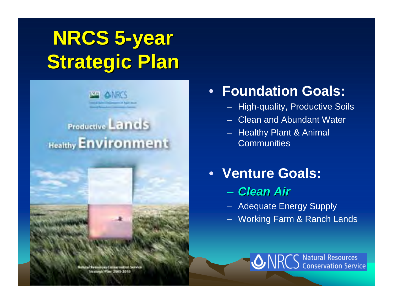# **NRCS 5-year Strategic Plan Strategic Plan**



#### • **Foundation Goals:**

- High-quality, Productive Soils
- Clean and Abundant Water
- Healthy Plant & Animal **Communities**
- **Venture Goals:**
	- *Clean Air Clean Air*
	- Adequate Energy Supply
	- Working Farm & Ranch Lands

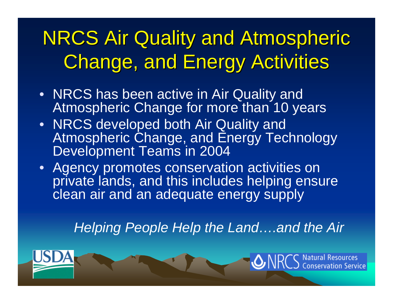#### **NRCS Air Quality and Atmospheric Change, and Energy Activities**

- NRCS has been active in Air Quality and Atmospheric Change for more than 10 years
- NRCS developed both Air Quality and Atmospheric Change, and Energy Technology Development Teams in 2004
- Agency promotes conservation activities on private lands, and this includes helping ensure clean air and an adequate energy supply

*Helping People Help the Land….and the Air*

tion Service

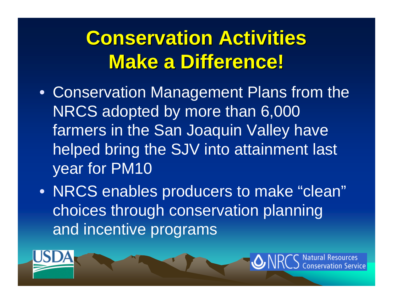#### **Conservation Activities Make a Difference! Make a Difference!**

- Conservation Management Plans from the NRCS adopted by more than 6,000 farmers in the San Joaquin Valley have helped bring the SJV into attainment last year for PM10
- NRCS enables producers to make "clean" choices through conservation planning and incentive programs

on Service

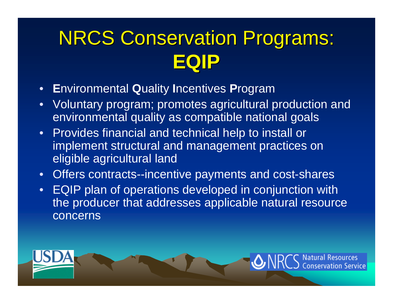#### **NRCS Conservation Programs: EQIP**

- •**E**nvironmental **Q**uality **I**ncentives **P**rogram
- • Voluntary program; promotes agricultural production and environmental quality as compatible national goals
- Provides financial and technical help to install or implement structural and management practices on eligible agricultural land
- •Offers contracts--incentive payments and cost-shares
- • EQIP plan of operations developed in conjunction with the producer that addresses applicable natural resource concerns

t**ion Service**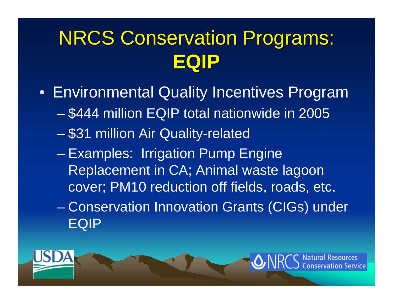#### **NRCS Conservation Programs: EQIP**

- Environmental Quality Incentives Program
	- \$444 million EQIP total nationwide in 2005
	- en al control de la control de \$31 million Air Quality-related
	- en al control de la control de Examples: Irrigation Pump Engine Replacement in CA; Animal waste lagoon cover; PM10 reduction off fields, roads, etc.
	- en al control de la control de Conservation Innovation Grants (CIGs) under EQIP

on Service

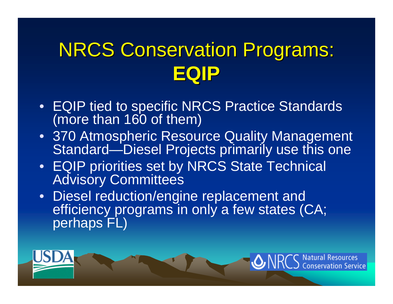#### **NRCS Conservation Programs: EQIP**

- EQIP tied to specific NRCS Practice Standards (more than 160 of them)
- 370 Atmospheric Resource Quality Management Standard—Diesel Projects primarily use this one
- EQIP priorities set by NRCS State Technical Advisory Committees
- Diesel reduction/engine replacement and efficiency programs in only a few states (CA; perhaps FL)

tion Service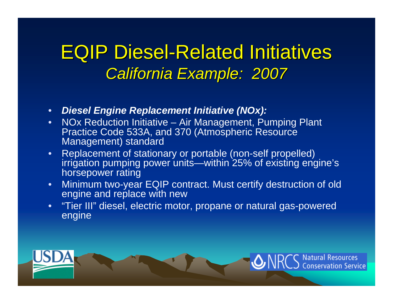#### **EQIP Diesel-Related Initiatives** *California Example: 2007 California Example: 2007*

- $\bullet$ *Diesel Engine Replacement Initiative (NOx):*
- • NOx Reduction Initiative – Air Management, Pumping Plant Practice Code 533A, and 370 (Atmospheric Resource Management) standard
- • Replacement of stationary or portable (non-self propelled) irrigation pumping power units—within 25% of existing engine's horsepower rating
- • Minimum two-year EQIP contract. Must certify destruction of old engine and replace with new
- • "Tier III" diesel, electric motor, propane or natural gas-powered engine

**Natural Resources** 

onservation Service

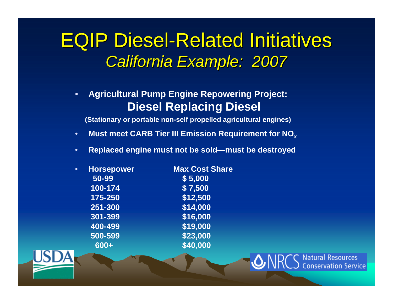#### **EQIP Diesel-Related Initiatives** *California Example: 2007 California Example: 2007*

• **Agricultural Pump Engine Repowering Project: Diesel Replacing Diesel**

**(Stationary or portable non-self propelled agricultural engines)**

- •**Must meet CARB Tier III Emission Requirement for NO x**
- •**Replaced engine must not be sold—must be destroyed**

Natural Resources

nservation Service

| $\bullet$ | <b>Horsepower</b> | <b>Max Cost Share</b> |
|-----------|-------------------|-----------------------|
|           | 50-99             | \$5,000               |
|           | 100-174           | \$7,500               |
|           | $175 - 250$       | \$12,500              |
|           | 251-300           | \$14,000              |
|           | 301-399           | \$16,000              |
|           | 400-499           | \$19,000              |
|           | 500-599           | \$23,000              |
|           | 600+              | \$40,000              |
|           |                   |                       |

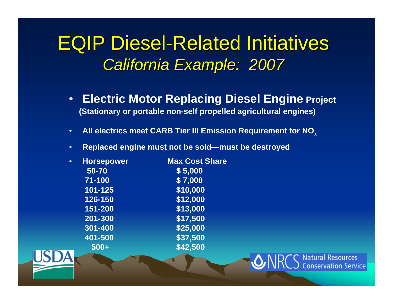#### **EQIP Diesel-Related Initiatives** *California Example: 2007 California Example: 2007*

•**Electric Motor Replacing Diesel Engine Project (Stationary or portable non-self propelled agricultural engines)**

Natural Resources

**onservation Service** 

- •**All electrics meet CARB Tier III Emission Requirement for NO x**
- •**Replaced engine must not be sold—must be destroyed**

| <b>Horsepower</b> | <b>Max Cost Share</b> |
|-------------------|-----------------------|
| 50-70             | \$5,000               |
| 71-100            | \$7,000               |
| 101-125           | \$10,000              |
| 126-150           | \$12,000              |
| 151-200           | \$13,000              |
| 201-300           | \$17,500              |
| 301-400           | \$25,000              |
| 401-500           | \$37,500              |
| $500+$            | \$42,500              |
|                   |                       |

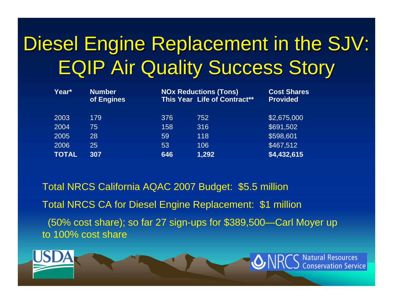#### Diesel Engine Replacement in the SJV: **EQIP Air Quality Success Story**

| Year*        | <b>Number</b><br>of Engines |     | <b>NOx Reductions (Tons)</b><br>This Year Life of Contract** | <b>Cost Shares</b><br><b>Provided</b> |
|--------------|-----------------------------|-----|--------------------------------------------------------------|---------------------------------------|
| 2003         | 179                         | 376 | 752                                                          | \$2,675,000                           |
| 2004         | 75                          | 158 | 316                                                          | \$691,502                             |
| 2005         | 28                          | 59  | 118                                                          | \$598,601                             |
| 2006         | 25                          | 53  | 106                                                          | $\sqrt{3467}$ ,512                    |
| <b>TOTAL</b> | 307                         | 646 | 1,292                                                        | \$4,432,615                           |

Total NRCS California AQAC 2007 Budget: \$5.5 million Total NRCS CA for Diesel Engine Replacement: \$1 million (50% cost share); so far 27 sign-ups for \$389,500—Carl Moyer up to 100% cost share

> **Natural Resources Conservation Service**

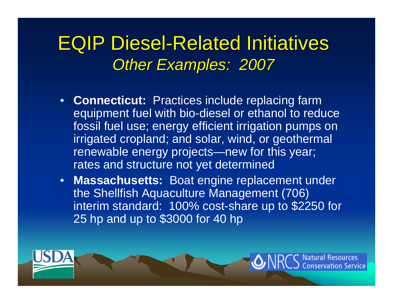#### **EQIP Diesel-Related Initiatives** *Other Examples: 2007 Other Examples: 2007*

- **Connecticut:** Practices include replacing farm equipment fuel with bio-diesel or ethanol to reduce fossil fuel use; energy efficient irrigation pumps on irrigated cropland; and solar, wind, or geothermal renewable energy projects—new for this year; rates and structure not yet determined
- **Massachusetts:** Boat engine replacement under the Shellfish Aquaculture Management (706) interim standard: 100% cost-share up to \$2250 for 25 hp and up to \$3000 for 40 hp

servation Service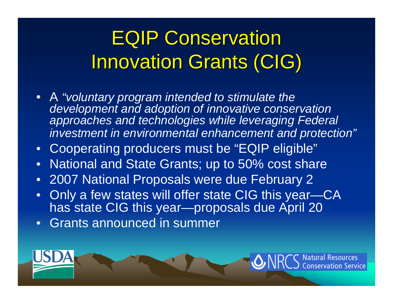### **EQIP Conservation Innovation Grants (CIG)**

- • A *"voluntary program intended to stimulate the development and adoption of innovative conservation approaches and technologies while leveraging Federal investment in environmental enhancement and protection"*
- •Cooperating producers must be "EQIP eligible"
- •National and State Grants; up to 50% cost share
- •2007 National Proposals were due February 2
- • Only a few states will offer state CIG this year—CA has state CIG this year—proposals due April 20

ion Service

•Grants announced in summer

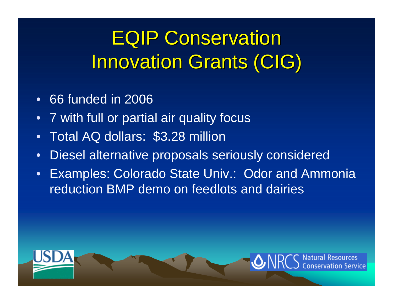#### **EQIP Conservation Innovation Grants (CIG)**

- •66 funded in 2006
- $\bullet$ 7 with full or partial air quality focus
- •Total AQ dollars: \$3.28 million
- •Diesel alternative proposals seriously considered
- • Examples: Colorado State Univ.: Odor and Ammonia reduction BMP demo on feedlots and dairies



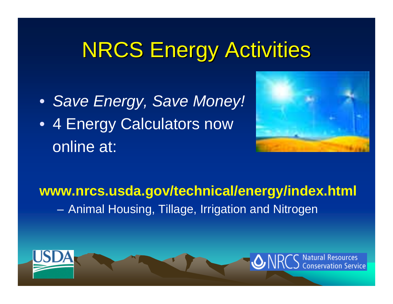# **NRCS Energy Activities**

• *Save Energy, Save Money!* • 4 Energy Calculators now online at:



#### **www.nrcs.usda.gov/technical/energy/index.html** Animal Housing, Tillage, Irrigation and Nitrogen

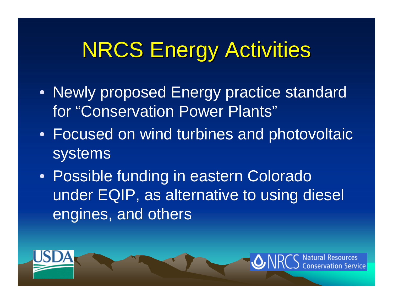# **NRCS Energy Activities**

- Newly proposed Energy practice standard for "Conservation Power Plants"
- Focused on wind turbines and photovoltaic systems
- Possible funding in eastern Colorado under EQIP, as alternative to using diesel engines, and others

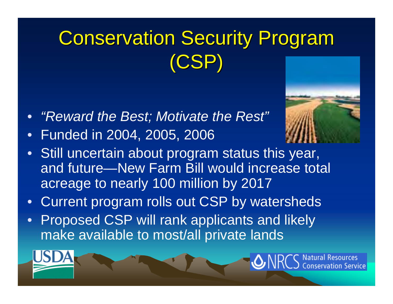# **Conservation Security Program** (CSP)

- *"Reward the Best; Motivate the Rest"*
- $\bullet$ Funded in 2004, 2005, 2006
- Still uncertain about program status this year, and future—New Farm Bill would increase total acreage to nearly 100 million by 2017
- Current program rolls out CSP by watersheds
- $\bullet$ **Proposed CSP will rank applicants and likely** make available to most/all private lands

**Natural Resources** 

nservation Service.

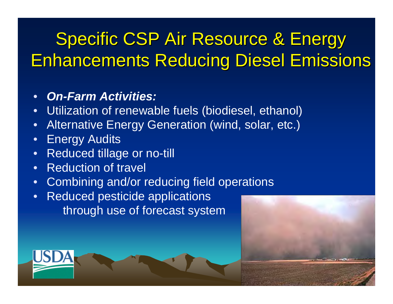#### Specific CSP Air Resource & Energy **Enhancements Reducing Diesel Emissions**

#### •*On-Farm Activities:*

- •Utilization of renewable fuels (biodiesel, ethanol)
- •Alternative Energy Generation (wind, solar, etc.)
- $\bullet$ Energy Audits
- •Reduced tillage or no-till
- •Reduction of travel
- $\bullet$ Combining and/or reducing field operations
- • Reduced pesticide applications through use of forecast system



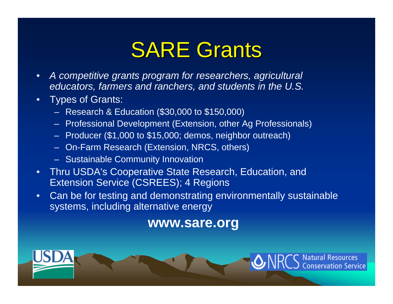# **SARE Grants**

- • *A competitive grants program for researchers, agricultural educators, farmers and ranchers, and students in the U.S.*
- • Types of Grants:
	- Research & Education (\$30,000 to \$150,000)
	- Professional Development (Extension, other Ag Professionals)
	- –Producer (\$1,000 to \$15,000; demos, neighbor outreach)
	- On-Farm Research (Extension, NRCS, others)
	- Sustainable Community Innovation
- • Thru USDA's Cooperative State Research, Education, and **Extension Service (CSREES); 4 Regions**
- • Can be for testing and demonstrating environmentally sustainable systems, including alternative energy

#### **www.sare.org**

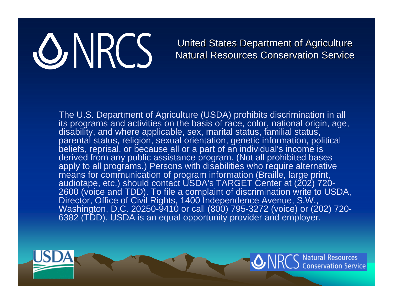# ONRCS

#### United States Department of Agriculture Natural Resources Conservation Service

The U.S. Department of Agriculture (USDA) prohibits discrimination in all its programs and activities on the basis of race, color, national origin, age, disability, and where applicable, sex, marital status, familial status, parental status, religion, sexual orientation, genetic information, political beliefs, reprisal, or because all or a part of an individual's income is derived from any public assistance program. (Not all prohibited bases apply to all programs.) Persons with disabilities who require alternative means for communication of program information (Braille, large print, audiotape, etc.) should contact USDA's TARGET Center at (202) 720- 2600 (voice and TDD). To file a complaint of discrimination write to USDA, Director, Office of Civil Rights, 1400 Independence Avenue, S.W., Washington, D.C. 20250-9410 or call (800) 795-3272 (voice) or (202) 720- 6382 (TDD). USDA is an equal opportunity provider and employer.